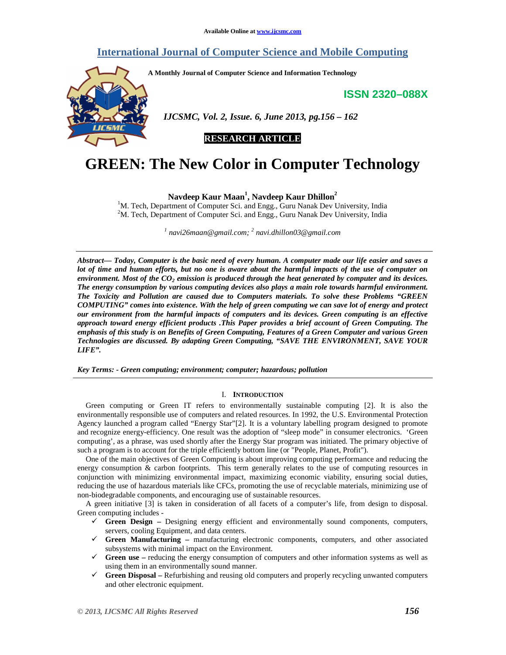# **International Journal of Computer Science and Mobile Computing**

**A Monthly Journal of Computer Science and Information Technology** 

**ISSN 2320–088X**



 *IJCSMC, Vol. 2, Issue. 6, June 2013, pg.156 – 162* 

**RESEARCH ARTICLE** 

# **GREEN: The New Color in Computer Technology**

**Navdeep Kaur Maan<sup>1</sup> , Navdeep Kaur Dhillon<sup>2</sup>**

 $1$ M. Tech, Department of Computer Sci. and Engg., Guru Nanak Dev University, India <sup>2</sup>M. Tech, Department of Computer Sci. and Engg., Guru Nanak Dev University, India

*1 navi26maan@gmail.com; <sup>2</sup> navi.dhillon03@gmail.com*

*Abstract— Today, Computer is the basic need of every human. A computer made our life easier and saves a lot of time and human efforts, but no one is aware about the harmful impacts of the use of computer on* environment. Most of the CO<sub>2</sub> emission is produced through the heat generated by computer and its devices. *The energy consumption by various computing devices also plays a main role towards harmful environment. The Toxicity and Pollution are caused due to Computers materials. To solve these Problems "GREEN COMPUTING" comes into existence. With the help of green computing we can save lot of energy and protect our environment from the harmful impacts of computers and its devices. Green computing is an effective approach toward energy efficient products .This Paper provides a brief account of Green Computing. The emphasis of this study is on Benefits of Green Computing, Features of a Green Computer and various Green Technologies are discussed. By adapting Green Computing, "SAVE THE ENVIRONMENT, SAVE YOUR LIFE".* 

*Key Terms: - Green computing; environment; computer; hazardous; pollution* 

# I. **INTRODUCTION**

Green computing or Green IT refers to environmentally sustainable computing [2]. It is also the environmentally responsible use of computers and related resources. In 1992, the U.S. Environmental Protection Agency launched a program called "Energy Star"[2]. It is a voluntary labelling program designed to promote and recognize energy-efficiency. One result was the adoption of "sleep mode" in consumer electronics. 'Green computing', as a phrase, was used shortly after the Energy Star program was initiated. The primary objective of such a program is to account for the triple efficiently bottom line (or "People, Planet, Profit").

One of the main objectives of Green Computing is about improving computing performance and reducing the energy consumption & carbon footprints. This term generally relates to the use of computing resources in conjunction with minimizing environmental impact, maximizing economic viability, ensuring social duties, reducing the use of hazardous materials like CFCs, promoting the use of recyclable materials, minimizing use of non-biodegradable components, and encouraging use of sustainable resources.

A green initiative [3] is taken in consideration of all facets of a computer's life, from design to disposal. Green computing includes -

- **Green Design –** Designing energy efficient and environmentally sound components, computers, servers, cooling Equipment, and data centers.
- **Green Manufacturing –** manufacturing electronic components, computers, and other associated subsystems with minimal impact on the Environment.
- **Green use –** reducing the energy consumption of computers and other information systems as well as using them in an environmentally sound manner.
- **Green Disposal –** Refurbishing and reusing old computers and properly recycling unwanted computers and other electronic equipment.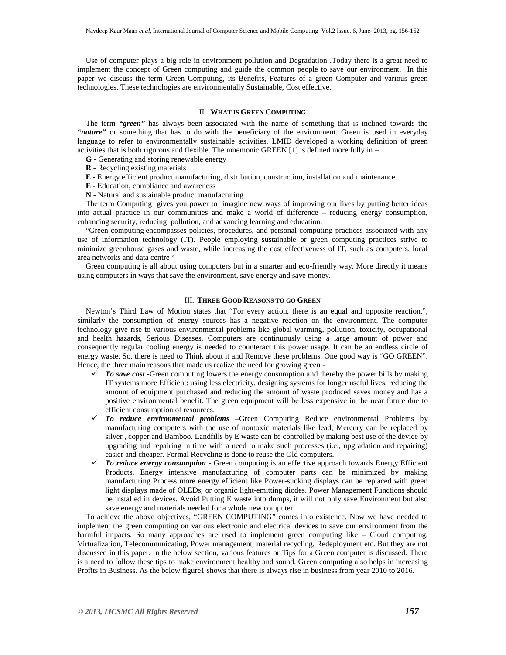Use of computer plays a big role in environment pollution and Degradation .Today there is a great need to implement the concept of Green computing and guide the common people to save our environment. In this paper we discuss the term Green Computing, its Benefits, Features of a green Computer and various green technologies. These technologies are environmentally Sustainable, Cost effective.

# II. **WHAT IS GREEN COMPUTING**

The term *"green"* has always been associated with the name of something that is inclined towards the "nature" or something that has to do with the beneficiary of the environment. Green is used in everyday language to refer to environmentally sustainable activities. LMID developed a working definition of green activities that is both rigorous and flexible. The mnemonic GREEN [1] is defined more fully in –

- **G -** Generating and storing renewable energy
- **R -** Recycling existing materials
- **E -** Energy efficient product manufacturing, distribution, construction, installation and maintenance
- **E -** Education, compliance and awareness
- **N -** Natural and sustainable product manufacturing

The term Computing gives you power to imagine new ways of improving our lives by putting better ideas into actual practice in our communities and make a world of difference – reducing energy consumption, enhancing security, reducing pollution, and advancing learning and education.

"Green computing encompasses policies, procedures, and personal computing practices associated with any use of information technology (IT). People employing sustainable or green computing practices strive to minimize greenhouse gases and waste, while increasing the cost effectiveness of IT, such as computers, local area networks and data centre "

Green computing is all about using computers but in a smarter and eco-friendly way. More directly it means using computers in ways that save the environment, save energy and save money.

# III. **THREE GOOD REASONS TO GO GREEN**

Newton's Third Law of Motion states that "For every action, there is an equal and opposite reaction.", similarly the consumption of energy sources has a negative reaction on the environment. The computer technology give rise to various environmental problems like global warming, pollution, toxicity, occupational and health hazards, Serious Diseases. Computers are continuously using a large amount of power and consequently regular cooling energy is needed to counteract this power usage. It can be an endless circle of energy waste. So, there is need to Think about it and Remove these problems. One good way is "GO GREEN". Hence, the three main reasons that made us realize the need for growing green -

- *To save cost -*Green computing lowers the energy consumption and thereby the power bills by making IT systems more Efficient: using less electricity, designing systems for longer useful lives, reducing the amount of equipment purchased and reducing the amount of waste produced saves money and has a positive environmental benefit. The green equipment will be less expensive in the near future due to efficient consumption of resources.
- *To reduce environmental problems –*Green Computing Reduce environmental Problems by manufacturing computers with the use of nontoxic materials like lead, Mercury can be replaced by silver , copper and Bamboo. Landfills by E waste can be controlled by making best use of the device by upgrading and repairing in time with a need to make such processes (i.e., upgradation and repairing) easier and cheaper. Formal Recycling is done to reuse the Old computers.
- *To reduce energy consumption -* Green computing is an effective approach towards Energy Efficient Products. Energy intensive manufacturing of computer parts can be minimized by making manufacturing Process more energy efficient like Power-sucking displays can be replaced with green light displays made of OLEDs, or organic light-emitting diodes. Power Management Functions should be installed in devices. Avoid Putting E waste into dumps, it will not only save Environment but also save energy and materials needed for a whole new computer.

To achieve the above objectives, "GREEN COMPUTING" comes into existence. Now we have needed to implement the green computing on various electronic and electrical devices to save our environment from the harmful impacts. So many approaches are used to implement green computing like – Cloud computing, Virtualization, Telecommunicating, Power management, material recycling, Redeployment etc. But they are not discussed in this paper. In the below section, various features or Tips for a Green computer is discussed. There is a need to follow these tips to make environment healthy and sound. Green computing also helps in increasing Profits in Business. As the below figure1 shows that there is always rise in business from year 2010 to 2016.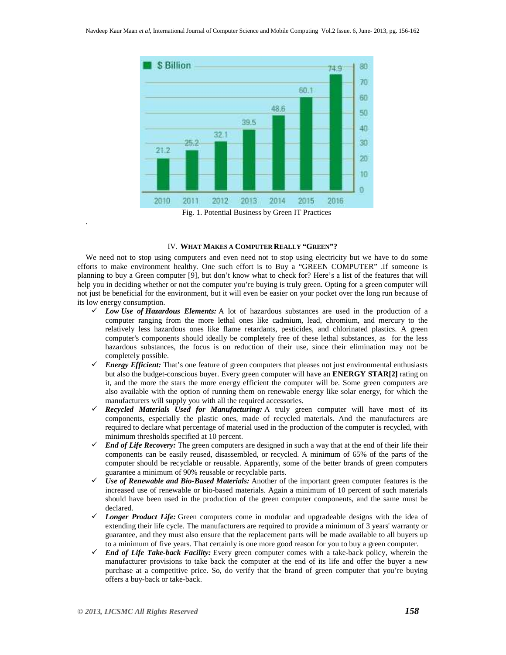

#### IV. **WHAT MAKES A COMPUTER REALLY "GREEN"?**

We need not to stop using computers and even need not to stop using electricity but we have to do some efforts to make environment healthy. One such effort is to Buy a "GREEN COMPUTER" .If someone is planning to buy a Green computer [9], but don't know what to check for? Here's a list of the features that will help you in deciding whether or not the computer you're buying is truly green. Opting for a green computer will not just be beneficial for the environment, but it will even be easier on your pocket over the long run because of its low energy consumption.

- $\checkmark$  *Low Use of Hazardous Elements:* A lot of hazardous substances are used in the production of a computer ranging from the more lethal ones like cadmium, lead, chromium, and mercury to the relatively less hazardous ones like flame retardants, pesticides, and chlorinated plastics. A green computer's components should ideally be completely free of these lethal substances, as for the less hazardous substances, the focus is on reduction of their use, since their elimination may not be completely possible.
- $\checkmark$  Energy Efficient: That's one feature of green computers that pleases not just environmental enthusiasts but also the budget-conscious buyer. Every green computer will have an **ENERGY STAR[2]** rating on it, and the more the stars the more energy efficient the computer will be. Some green computers are also available with the option of running them on renewable energy like solar energy, for which the manufacturers will supply you with all the required accessories.
- *Recycled Materials Used for Manufacturing:* A truly green computer will have most of its components, especially the plastic ones, made of recycled materials. And the manufacturers are required to declare what percentage of material used in the production of the computer is recycled, with minimum thresholds specified at 10 percent.
- $\checkmark$  End of Life Recovery: The green computers are designed in such a way that at the end of their life their components can be easily reused, disassembled, or recycled. A minimum of 65% of the parts of the computer should be recyclable or reusable. Apparently, some of the better brands of green computers guarantee a minimum of 90% reusable or recyclable parts.
- *Use of Renewable and Bio-Based Materials:* Another of the important green computer features is the increased use of renewable or bio-based materials. Again a minimum of 10 percent of such materials should have been used in the production of the green computer components, and the same must be declared.
- $\checkmark$  Longer Product Life: Green computers come in modular and upgradeable designs with the idea of extending their life cycle. The manufacturers are required to provide a minimum of 3 years' warranty or guarantee, and they must also ensure that the replacement parts will be made available to all buyers up to a minimum of five years. That certainly is one more good reason for you to buy a green computer.
- $\checkmark$  End of Life Take-back Facility: Every green computer comes with a take-back policy, wherein the manufacturer provisions to take back the computer at the end of its life and offer the buyer a new purchase at a competitive price. So, do verify that the brand of green computer that you're buying offers a buy-back or take-back.

.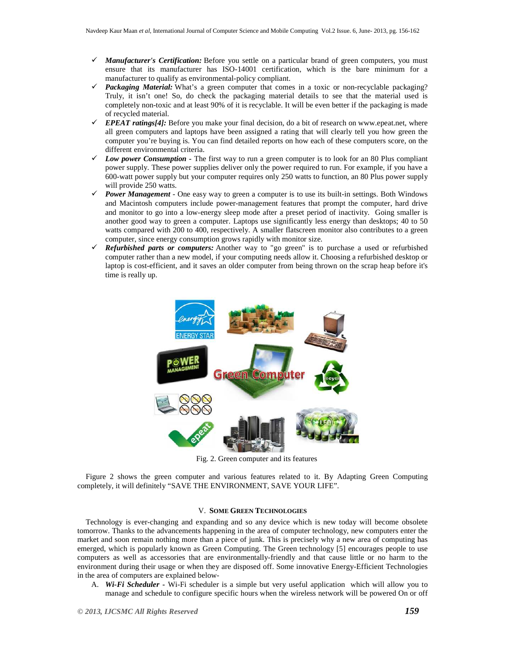- *Manufacturer's Certification:* Before you settle on a particular brand of green computers, you must ensure that its manufacturer has ISO-14001 certification, which is the bare minimum for a manufacturer to qualify as environmental-policy compliant.
- *Packaging Material:* What's a green computer that comes in a toxic or non-recyclable packaging? Truly, it isn't one! So, do check the packaging material details to see that the material used is completely non-toxic and at least 90% of it is recyclable. It will be even better if the packaging is made of recycled material.
- $\checkmark$  **EPEAT ratings**[4]: Before you make your final decision, do a bit of research on www.epeat.net, where all green computers and laptops have been assigned a rating that will clearly tell you how green the computer you're buying is. You can find detailed reports on how each of these computers score, on the different environmental criteria.
- *Low power Consumption -* The first way to run a green computer is to look for an 80 Plus compliant power supply. These power supplies deliver only the power required to run. For example, if you have a 600-watt power supply but your computer requires only 250 watts to function, an 80 Plus power supply will provide 250 watts.
- *Power Management -* One easy way to green a computer is to use its built-in settings. Both Windows and Macintosh computers include power-management features that prompt the computer, hard drive and monitor to go into a low-energy sleep mode after a preset period of inactivity. Going smaller is another good way to green a computer. Laptops use significantly less energy than desktops; 40 to 50 watts compared with 200 to 400, respectively. A smaller flatscreen monitor also contributes to a green computer, since energy consumption grows rapidly with monitor size.
- $\checkmark$  Refurbished parts or computers: Another way to "go green" is to purchase a used or refurbished computer rather than a new model, if your computing needs allow it. Choosing a refurbished desktop or laptop is cost-efficient, and it saves an older computer from being thrown on the scrap heap before it's time is really up.



Fig. 2. Green computer and its features

Figure 2 shows the green computer and various features related to it. By Adapting Green Computing completely, it will definitely "SAVE THE ENVIRONMENT, SAVE YOUR LIFE".

### V. **SOME GREEN TECHNOLOGIES**

Technology is ever-changing and expanding and so any device which is new today will become obsolete tomorrow. Thanks to the advancements happening in the area of computer technology, new computers enter the market and soon remain nothing more than a piece of junk. This is precisely why a new area of computing has emerged, which is popularly known as Green Computing. The Green technology [5] encourages people to use computers as well as accessories that are environmentally-friendly and that cause little or no harm to the environment during their usage or when they are disposed off. Some innovative Energy-Efficient Technologies in the area of computers are explained below-

A. *Wi-Fi Scheduler* **-** Wi-Fi scheduler is a simple but very useful application which will allow you to manage and schedule to configure specific hours when the wireless network will be powered On or off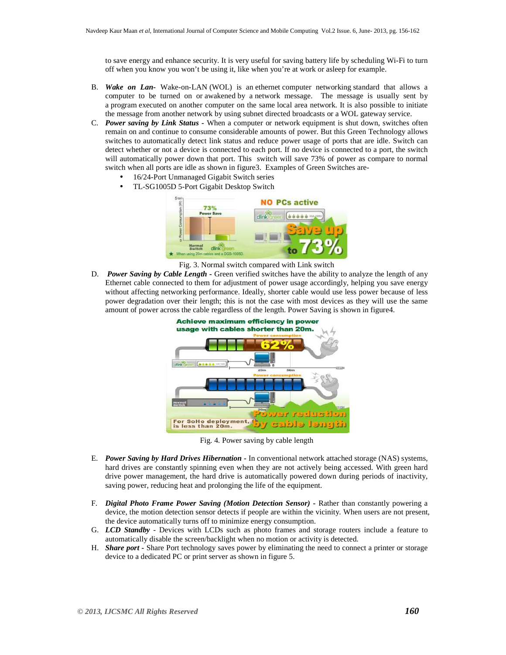to save energy and enhance security. It is very useful for saving battery life by scheduling Wi-Fi to turn off when you know you won't be using it, like when you're at work or asleep for example.

- B. *Wake on Lan-* Wake-on-LAN (WOL) is an ethernet computer networking standard that allows a computer to be turned on or awakened by a network message. The message is usually sent by a program executed on another computer on the same local area network. It is also possible to initiate the message from another network by using subnet directed broadcasts or a WOL gateway service.
- C. *Power saving by Link Status -* When a computer or network equipment is shut down, switches often remain on and continue to consume considerable amounts of power. But this Green Technology allows switches to automatically detect link status and reduce power usage of ports that are idle. Switch can detect whether or not a device is connected to each port. If no device is connected to a port, the switch will automatically power down that port. This switch will save 73% of power as compare to normal switch when all ports are idle as shown in figure3. Examples of Green Switches are-
	- 16/24-Port Unmanaged Gigabit Switch series
	- TL-SG1005D 5-Port Gigabit Desktop Switch



Fig. 3. Normal switch compared with Link switch

D. *Power Saving by Cable Length* **-** Green verified switches have the ability to analyze the length of any Ethernet cable connected to them for adjustment of power usage accordingly, helping you save energy without affecting networking performance. Ideally, shorter cable would use less power because of less power degradation over their length; this is not the case with most devices as they will use the same amount of power across the cable regardless of the length. Power Saving is shown in figure4.



Fig. 4. Power saving by cable length

- E. *Power Saving by Hard Drives Hibernation*In conventional network attached storage (NAS) systems, hard drives are constantly spinning even when they are not actively being accessed. With green hard drive power management, the hard drive is automatically powered down during periods of inactivity, saving power, reducing heat and prolonging the life of the equipment.
- F. *Digital Photo Frame Power Saving (Motion Detection Sensor)*Rather than constantly powering a device, the motion detection sensor detects if people are within the vicinity. When users are not present, the device automatically turns off to minimize energy consumption.
- G. *LCD Standby* Devices with LCDs such as photo frames and storage routers include a feature to automatically disable the screen/backlight when no motion or activity is detected.
- H. *Share port -* Share Port technology saves power by eliminating the need to connect a printer or storage device to a dedicated PC or print server as shown in figure 5.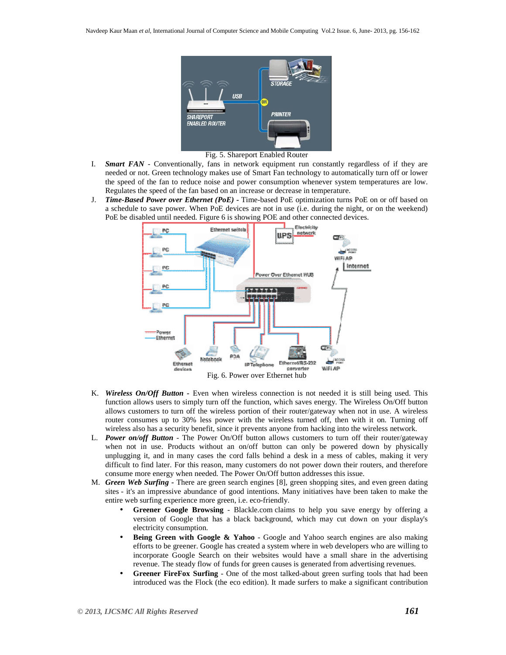

Fig. 5. Shareport Enabled Router

- I. *Smart FAN -* Conventionally, fans in network equipment run constantly regardless of if they are needed or not. Green technology makes use of Smart Fan technology to automatically turn off or lower the speed of the fan to reduce noise and power consumption whenever system temperatures are low. Regulates the speed of the fan based on an increase or decrease in temperature.
- J. *Time-Based Power over Ethernet (PoE) -* Time-based PoE optimization turns PoE on or off based on a schedule to save power. When PoE devices are not in use (i.e. during the night, or on the weekend) PoE be disabled until needed. Figure 6 is showing POE and other connected devices.



- K. *Wireless On/Off Button -* Even when wireless connection is not needed it is still being used. This function allows users to simply turn off the function, which saves energy. The Wireless On/Off button allows customers to turn off the wireless portion of their router/gateway when not in use. A wireless router consumes up to 30% less power with the wireless turned off, then with it on. Turning off wireless also has a security benefit, since it prevents anyone from hacking into the wireless network.
- L. *Power on/off Button* The Power On/Off button allows customers to turn off their router/gateway when not in use. Products without an on/off button can only be powered down by physically unplugging it, and in many cases the cord falls behind a desk in a mess of cables, making it very difficult to find later. For this reason, many customers do not power down their routers, and therefore consume more energy when needed. The Power On/Off button addresses this issue.
- M. *Green Web Surfing* **-** There are green search engines [8], green shopping sites, and even green dating sites - it's an impressive abundance of good intentions. Many initiatives have been taken to make the entire web surfing experience more green, i.e. eco-friendly.
	- **Greener Google Browsing** Blackle.com claims to help you save energy by offering a version of Google that has a black background, which may cut down on your display's electricity consumption.
	- **Being Green with Google & Yahoo** Google and Yahoo search engines are also making efforts to be greener. Google has created a system where in web developers who are willing to incorporate Google Search on their websites would have a small share in the advertising revenue. The steady flow of funds for green causes is generated from advertising revenues.
	- **Greener FireFox Surfing** One of the most talked-about green surfing tools that had been introduced was the Flock (the eco edition). It made surfers to make a significant contribution